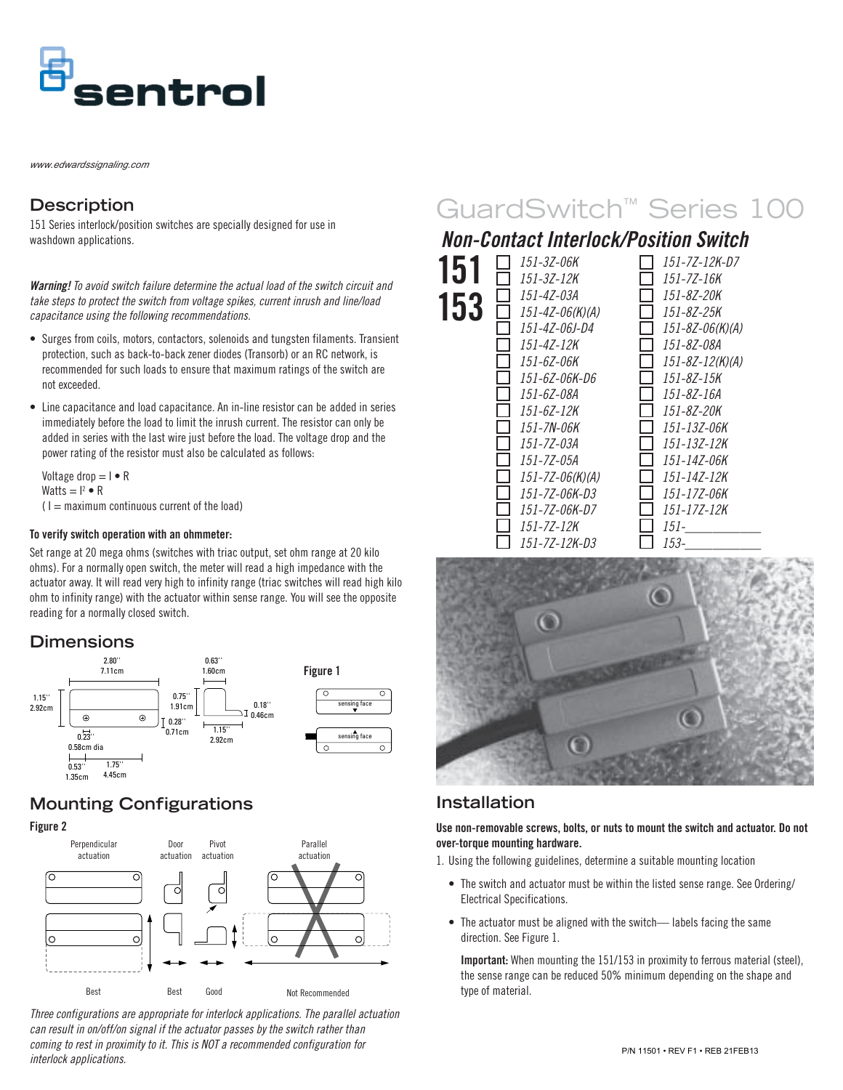

*www.edwardssignaling.com*

## **Description**

151 Series interlock/position switches are specially designed for use in washdown applications.

**Warning!** To avoid switch failure determine the actual load of the switch circuit and take steps to protect the switch from voltage spikes, current inrush and line/load capacitance using the following recommendations.

- Surges from coils, motors, contactors, solenoids and tungsten filaments. Transient protection, such as back-to-back zener diodes (Transorb) or an RC network, is recommended for such loads to ensure that maximum ratings of the switch are not exceeded.
- Line capacitance and load capacitance. An in-line resistor can be added in series immediately before the load to limit the inrush current. The resistor can only be added in series with the last wire just before the load. The voltage drop and the power rating of the resistor must also be calculated as follows:

Voltage drop  $= I \cdot R$ Watts  $= I^2 \bullet R$  $(1 =$  maximum continuous current of the load)

#### **To verify switch operation with an ohmmeter:**

Set range at 20 mega ohms (switches with triac output, set ohm range at 20 kilo ohms). For a normally open switch, the meter will read a high impedance with the actuator away. It will read very high to infinity range (triac switches will read high kilo ohm to infinity range) with the actuator within sense range. You will see the opposite reading for a normally closed switch.

### **Dimensions**



# **Mounting Configurations**





Three configurations are appropriate for interlock applications. The parallel actuation can result in on/off/on signal if the actuator passes by the switch rather than coming to rest in proximity to it. This is NOT a recommended configuration for interlock applications.

# GuardSwitch™ Series 100

# **Non-Contact Interlock/Position Switch**

| 151-3Z-06K      | 151-7Z-12K-D7         |
|-----------------|-----------------------|
| 151-3Z-12K      | 151-7Z-16K            |
| 151-4Z-03A      | 151-8Z-20K            |
| 151-4Z-06(K)(A) | 151-8Z-25K            |
| 151-4Z-06J-D4   | $151 - 8Z - 06(K)(A)$ |
| 151-4Z-12K      | 151-8Z-08A            |
| 151-67-06K      | 151-8Z-12(K)(A)       |
| 151-6Z-06K-D6   | 151-8Z-15K            |
| 151-67-08A      | 151-87-16A            |
| 151-67-12К      | 151-87-20K            |
| 151-7N-06K      | 151-137-06K           |
| 151-7Z-03A      | 151-13Z-12K           |
| 151-7Z-05A      | 151-14Z-06K           |
| 151-7Z-06(K)(A) | 151-14Z-12K           |
| 151-7Z-06K-D3   | 151-17Z-06K           |
| 151-7Z-06K-D7   | 151-17Z-12K           |
| 151-7Z-12K      | 151-                  |
| 151-7Z-12K-D3   | 153-                  |



## **Installation**

**Use non-removable screws, bolts, or nuts to mount the switch and actuator. Do not over-torque mounting hardware.**

1. Using the following guidelines, determine a suitable mounting location

- The switch and actuator must be within the listed sense range. See Ordering/ Electrical Specifications.
- The actuator must be aligned with the switch— labels facing the same direction. See Figure 1.

**Important:** When mounting the 151/153 in proximity to ferrous material (steel), the sense range can be reduced 50% minimum depending on the shape and type of material.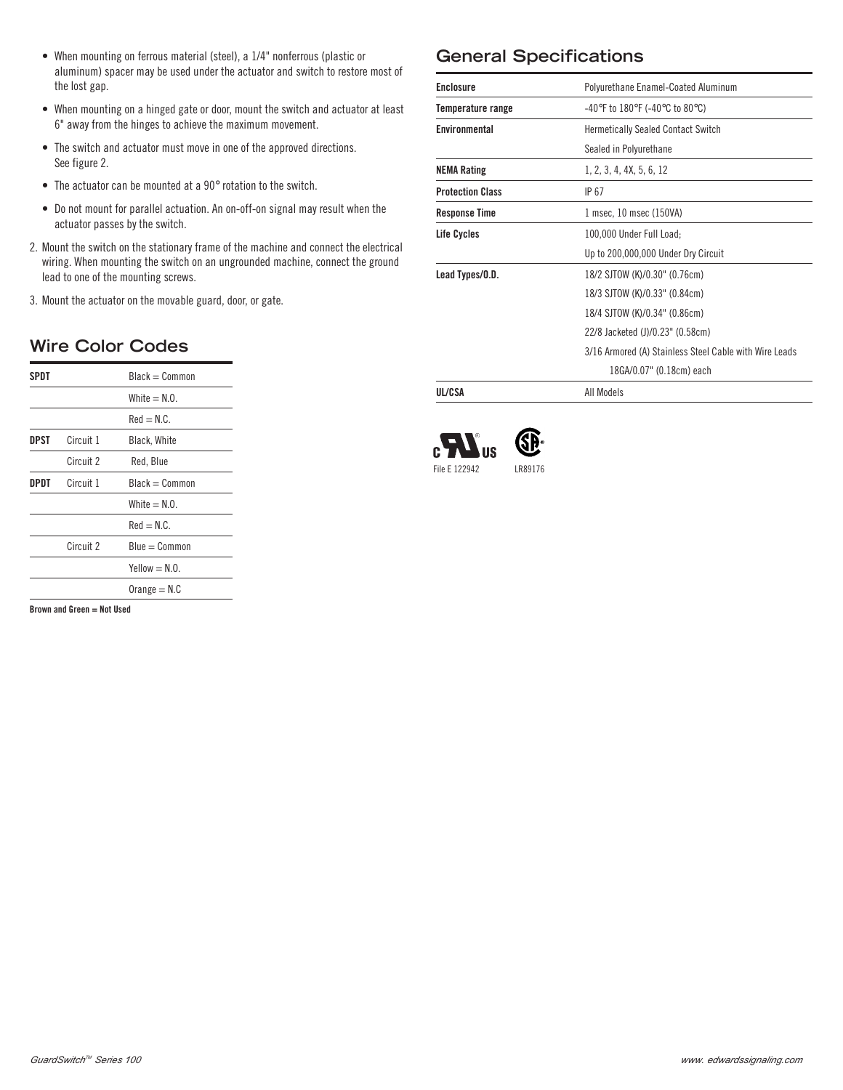- When mounting on ferrous material (steel), a 1/4" nonferrous (plastic or aluminum) spacer may be used under the actuator and switch to restore most of the lost gap.
- When mounting on a hinged gate or door, mount the switch and actuator at least 6" away from the hinges to achieve the maximum movement.
- The switch and actuator must move in one of the approved directions. See figure 2.
- The actuator can be mounted at a 90° rotation to the switch.
- Do not mount for parallel actuation. An on-off-on signal may result when the actuator passes by the switch.
- 2. Mount the switch on the stationary frame of the machine and connect the electrical wiring. When mounting the switch on an ungrounded machine, connect the ground lead to one of the mounting screws.
- 3. Mount the actuator on the movable guard, door, or gate.

# **Wire Color Codes**

| SPDT |           | Black = Common        |
|------|-----------|-----------------------|
|      |           | White $= N.0$ .       |
|      |           | $\Omega = \text{had}$ |
| DPST | Circuit 1 | Black, White          |
|      | Circuit 2 | Red, Blue             |
| DPDT | Circuit 1 | Black = Common        |
|      |           | White $= N.0$         |
|      |           | $Red = N.C.$          |
|      | Circuit 2 | $Blue = Common$       |
|      |           | $Yellow = N.0.$       |
|      |           | $Orange = N.C$        |

**Brown and Green = Not Used**

# **General Specifications**

| <b>Enclosure</b>        | Polyurethane Enamel-Coated Aluminum                                      |  |  |  |
|-------------------------|--------------------------------------------------------------------------|--|--|--|
| Temperature range       | $-40^{\circ}$ F to $180^{\circ}$ F (-40 $^{\circ}$ C to 80 $^{\circ}$ C) |  |  |  |
| Environmental           | <b>Hermetically Sealed Contact Switch</b>                                |  |  |  |
|                         | Sealed in Polyurethane                                                   |  |  |  |
| <b>NEMA Rating</b>      | 1, 2, 3, 4, 4X, 5, 6, 12                                                 |  |  |  |
| <b>Protection Class</b> | IP 67                                                                    |  |  |  |
| <b>Response Time</b>    | 1 msec, 10 msec (150VA)                                                  |  |  |  |
| <b>Life Cycles</b>      | 100,000 Under Full Load;                                                 |  |  |  |
|                         | Up to 200,000,000 Under Dry Circuit                                      |  |  |  |
| Lead Types/O.D.         | 18/2 SJTOW (K)/0.30" (0.76cm)                                            |  |  |  |
|                         | 18/3 SJTOW (K)/0.33" (0.84cm)                                            |  |  |  |
|                         | 18/4 SJTOW (K)/0.34" (0.86cm)                                            |  |  |  |
|                         | 22/8 Jacketed (J)/0.23" (0.58cm)                                         |  |  |  |
|                         | 3/16 Armored (A) Stainless Steel Cable with Wire Leads                   |  |  |  |
|                         | 18GA/0.07" (0.18cm) each                                                 |  |  |  |
| UL/CSA                  | All Models                                                               |  |  |  |